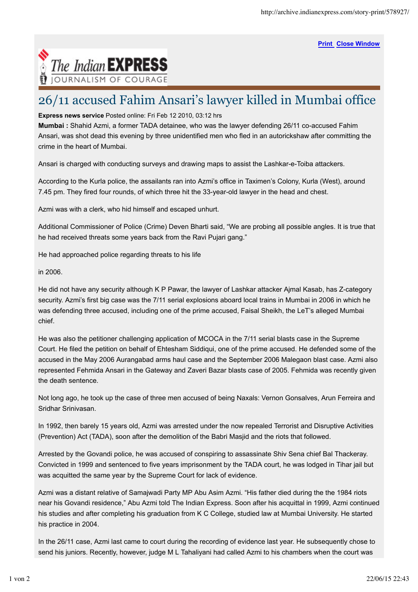**Print Close Window**



## 26/11 accused Fahim Ansari's lawyer killed in Mumbai office

**Express news service** Posted online: Fri Feb 12 2010, 03:12 hrs

**Mumbai :** Shahid Azmi, a former TADA detainee, who was the lawyer defending 26/11 co-accused Fahim Ansari, was shot dead this evening by three unidentified men who fled in an autorickshaw after committing the crime in the heart of Mumbai.

Ansari is charged with conducting surveys and drawing maps to assist the Lashkar-e-Toiba attackers.

According to the Kurla police, the assailants ran into Azmi's office in Taximen's Colony, Kurla (West), around 7.45 pm. They fired four rounds, of which three hit the 33-year-old lawyer in the head and chest.

Azmi was with a clerk, who hid himself and escaped unhurt.

Additional Commissioner of Police (Crime) Deven Bharti said, "We are probing all possible angles. It is true that he had received threats some years back from the Ravi Pujari gang."

He had approached police regarding threats to his life

in 2006.

He did not have any security although K P Pawar, the lawyer of Lashkar attacker Ajmal Kasab, has Z-category security. Azmi's first big case was the 7/11 serial explosions aboard local trains in Mumbai in 2006 in which he was defending three accused, including one of the prime accused, Faisal Sheikh, the LeT's alleged Mumbai chief.

He was also the petitioner challenging application of MCOCA in the 7/11 serial blasts case in the Supreme Court. He filed the petition on behalf of Ehtesham Siddiqui, one of the prime accused. He defended some of the accused in the May 2006 Aurangabad arms haul case and the September 2006 Malegaon blast case. Azmi also represented Fehmida Ansari in the Gateway and Zaveri Bazar blasts case of 2005. Fehmida was recently given the death sentence.

Not long ago, he took up the case of three men accused of being Naxals: Vernon Gonsalves, Arun Ferreira and Sridhar Srinivasan.

In 1992, then barely 15 years old, Azmi was arrested under the now repealed Terrorist and Disruptive Activities (Prevention) Act (TADA), soon after the demolition of the Babri Masjid and the riots that followed.

Arrested by the Govandi police, he was accused of conspiring to assassinate Shiv Sena chief Bal Thackeray. Convicted in 1999 and sentenced to five years imprisonment by the TADA court, he was lodged in Tihar jail but was acquitted the same year by the Supreme Court for lack of evidence.

Azmi was a distant relative of Samajwadi Party MP Abu Asim Azmi. "His father died during the the 1984 riots near his Govandi residence," Abu Azmi told The Indian Express. Soon after his acquittal in 1999, Azmi continued his studies and after completing his graduation from K C College, studied law at Mumbai University. He started his practice in 2004.

In the 26/11 case, Azmi last came to court during the recording of evidence last year. He subsequently chose to send his juniors. Recently, however, judge M L Tahaliyani had called Azmi to his chambers when the court was